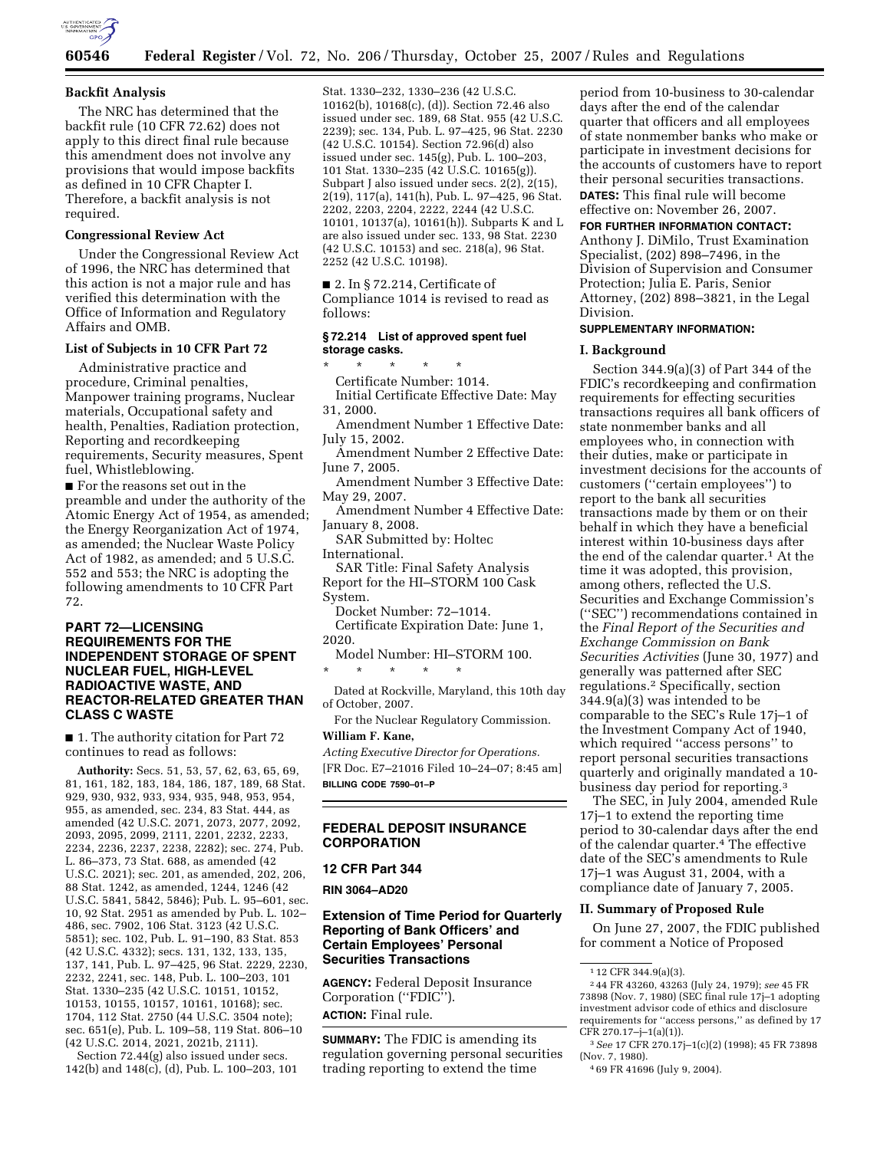

## **Backfit Analysis**

The NRC has determined that the backfit rule (10 CFR 72.62) does not apply to this direct final rule because this amendment does not involve any provisions that would impose backfits as defined in 10 CFR Chapter I. Therefore, a backfit analysis is not required.

#### **Congressional Review Act**

Under the Congressional Review Act of 1996, the NRC has determined that this action is not a major rule and has verified this determination with the Office of Information and Regulatory Affairs and OMB.

#### **List of Subjects in 10 CFR Part 72**

Administrative practice and procedure, Criminal penalties, Manpower training programs, Nuclear materials, Occupational safety and health, Penalties, Radiation protection, Reporting and recordkeeping requirements, Security measures, Spent fuel, Whistleblowing.

■ For the reasons set out in the preamble and under the authority of the Atomic Energy Act of 1954, as amended; the Energy Reorganization Act of 1974, as amended; the Nuclear Waste Policy Act of 1982, as amended; and 5 U.S.C. 552 and 553; the NRC is adopting the following amendments to 10 CFR Part 72.

## **PART 72—LICENSING REQUIREMENTS FOR THE INDEPENDENT STORAGE OF SPENT NUCLEAR FUEL, HIGH-LEVEL RADIOACTIVE WASTE, AND REACTOR-RELATED GREATER THAN CLASS C WASTE**

■ 1. The authority citation for Part 72 continues to read as follows:

**Authority:** Secs. 51, 53, 57, 62, 63, 65, 69, 81, 161, 182, 183, 184, 186, 187, 189, 68 Stat. 929, 930, 932, 933, 934, 935, 948, 953, 954, 955, as amended, sec. 234, 83 Stat. 444, as amended (42 U.S.C. 2071, 2073, 2077, 2092, 2093, 2095, 2099, 2111, 2201, 2232, 2233, 2234, 2236, 2237, 2238, 2282); sec. 274, Pub. L. 86–373, 73 Stat. 688, as amended (42 U.S.C. 2021); sec. 201, as amended, 202, 206, 88 Stat. 1242, as amended, 1244, 1246 (42 U.S.C. 5841, 5842, 5846); Pub. L. 95–601, sec. 10, 92 Stat. 2951 as amended by Pub. L. 102– 486, sec. 7902, 106 Stat. 3123 (42 U.S.C. 5851); sec. 102, Pub. L. 91–190, 83 Stat. 853 (42 U.S.C. 4332); secs. 131, 132, 133, 135, 137, 141, Pub. L. 97–425, 96 Stat. 2229, 2230, 2232, 2241, sec. 148, Pub. L. 100–203, 101 Stat. 1330–235 (42 U.S.C. 10151, 10152, 10153, 10155, 10157, 10161, 10168); sec. 1704, 112 Stat. 2750 (44 U.S.C. 3504 note); sec. 651(e), Pub. L. 109–58, 119 Stat. 806–10 (42 U.S.C. 2014, 2021, 2021b, 2111).

Section 72.44(g) also issued under secs. 142(b) and 148(c), (d), Pub. L. 100–203, 101

Stat. 1330–232, 1330–236 (42 U.S.C. 10162(b), 10168(c), (d)). Section 72.46 also issued under sec. 189, 68 Stat. 955 (42 U.S.C. 2239); sec. 134, Pub. L. 97–425, 96 Stat. 2230 (42 U.S.C. 10154). Section 72.96(d) also issued under sec. 145(g), Pub. L. 100–203, 101 Stat. 1330–235 (42 U.S.C. 10165(g)). Subpart J also issued under secs. 2(2), 2(15), 2(19), 117(a), 141(h), Pub. L. 97–425, 96 Stat. 2202, 2203, 2204, 2222, 2244 (42 U.S.C. 10101, 10137(a), 10161(h)). Subparts K and L are also issued under sec. 133, 98 Stat. 2230 (42 U.S.C. 10153) and sec. 218(a), 96 Stat. 2252 (42 U.S.C. 10198).

■ 2. In § 72.214, Certificate of Compliance 1014 is revised to read as follows:

#### **§ 72.214 List of approved spent fuel storage casks.**

\* \* \* \* \* Certificate Number: 1014.

Initial Certificate Effective Date: May 31, 2000.

- Amendment Number 1 Effective Date: July 15, 2002.
- Amendment Number 2 Effective Date: June 7, 2005.
- Amendment Number 3 Effective Date: May 29, 2007.
- Amendment Number 4 Effective Date: January 8, 2008.

SAR Submitted by: Holtec

International.

SAR Title: Final Safety Analysis Report for the HI–STORM 100 Cask System.

- Docket Number: 72–1014. Certificate Expiration Date: June 1,
- 2020.

Model Number: HI–STORM 100.

\* \* \* \* \*

- Dated at Rockville, Maryland, this 10th day of October, 2007.
- For the Nuclear Regulatory Commission. **William F. Kane,**

*Acting Executive Director for Operations.*  [FR Doc. E7–21016 Filed 10–24–07; 8:45 am] **BILLING CODE 7590–01–P** 

## **FEDERAL DEPOSIT INSURANCE CORPORATION**

#### **12 CFR Part 344**

**RIN 3064–AD20** 

# **Extension of Time Period for Quarterly Reporting of Bank Officers' and Certain Employees' Personal Securities Transactions**

**AGENCY:** Federal Deposit Insurance Corporation ("FDIC"). **ACTION:** Final rule.

**SUMMARY:** The FDIC is amending its regulation governing personal securities trading reporting to extend the time

period from 10-business to 30-calendar days after the end of the calendar quarter that officers and all employees of state nonmember banks who make or participate in investment decisions for the accounts of customers have to report their personal securities transactions. **DATES:** This final rule will become effective on: November 26, 2007.

**FOR FURTHER INFORMATION CONTACT:** 

Anthony J. DiMilo, Trust Examination Specialist, (202) 898–7496, in the Division of Supervision and Consumer Protection; Julia E. Paris, Senior Attorney, (202) 898–3821, in the Legal Division.

## **SUPPLEMENTARY INFORMATION:**

#### **I. Background**

Section 344.9(a)(3) of Part 344 of the FDIC's recordkeeping and confirmation requirements for effecting securities transactions requires all bank officers of state nonmember banks and all employees who, in connection with their duties, make or participate in investment decisions for the accounts of customers (''certain employees'') to report to the bank all securities transactions made by them or on their behalf in which they have a beneficial interest within 10-business days after the end of the calendar quarter.1 At the time it was adopted, this provision, among others, reflected the U.S. Securities and Exchange Commission's (''SEC'') recommendations contained in the *Final Report of the Securities and Exchange Commission on Bank Securities Activities* (June 30, 1977) and generally was patterned after SEC regulations.2 Specifically, section 344.9(a)(3) was intended to be comparable to the SEC's Rule 17j–1 of the Investment Company Act of 1940, which required ''access persons'' to report personal securities transactions quarterly and originally mandated a 10 business day period for reporting.3

The SEC, in July 2004, amended Rule 17j–1 to extend the reporting time period to 30-calendar days after the end of the calendar quarter.4 The effective date of the SEC's amendments to Rule 17j–1 was August 31, 2004, with a compliance date of January 7, 2005.

## **II. Summary of Proposed Rule**

On June 27, 2007, the FDIC published for comment a Notice of Proposed

<sup>1</sup> 12 CFR 344.9(a)(3).

<sup>2</sup> 44 FR 43260, 43263 (July 24, 1979); *see* 45 FR 73898 (Nov. 7, 1980) (SEC final rule 17j–1 adopting investment advisor code of ethics and disclosure requirements for ''access persons,'' as defined by 17  $CFR 270.17 - j - 1(a)(1)$ .

<sup>3</sup>*See* 17 CFR 270.17j–1(c)(2) (1998); 45 FR 73898 (Nov. 7, 1980).

<sup>4</sup> 69 FR 41696 (July 9, 2004).